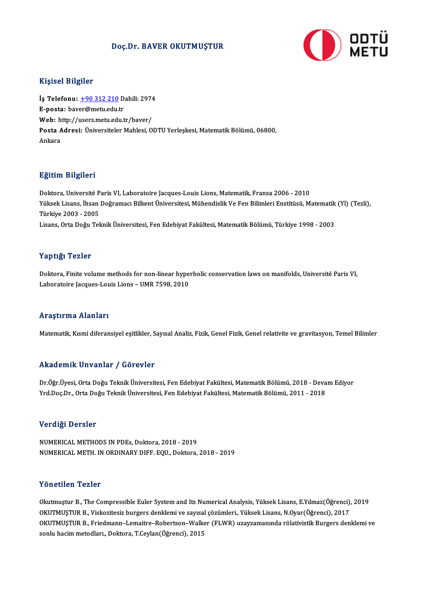### Doç.Dr. BAVER OKUTMUŞTUR



#### Kişisel Bilgiler

Kişisel Bilgiler<br>İş Telefonu: <u>+90 312 210</u> Dahili: 2974<br>E nasta: bayer@matu.edu.tr 11191001 D1191101<br>İş Telefonu: <u>+90 312 210</u> D<br>E-posta: bav[er@metu.edu.](tel:+90 312 210)tr İş Telefonu: <u>+90 312 210</u> Dahili: 2974<br>E-posta: baver@metu.edu.tr<br>Web: http://users.metu.edu.tr/baver/<br>Posta Adnosi: Üniversiteler Mahlesi Q E-posta: baver@metu.edu.tr<br>Web: http://users.metu.edu.tr/baver/<br>Posta Adresi: Üniversiteler Mahlesi, ODTU Yerleşkesi, Matematik Bölümü, 06800,<br>Ankara Web: http://users.metu.edu.tr/baver/

#### Eğitim Bilgileri

<mark>Eğitim Bilgileri</mark><br>Doktora, Université Paris VI, Laboratoire Jacques-Louis Lions, Matematik, Fransa 2006 - 2010<br>Vikrek Lisens, İbran Doğramacı Bilkart Üniversitesi Mühandislik Ve Fen Bilimleri Enstitüsü, M Yüksek Lisans, İhsan Doğramacı Bilkent Üniversitesi, Mühendislik Ve Fen Bilimleri Enstitüsü, Matematik (Yl) (Tezli),<br>Türkiye 2003 - 2005 Doktora, Université P<br>Yüksek Lisans, İhsan<br>Türkiye 2003 - 2005<br>Lisans, Orta Doğu Tol Lisans, Orta Doğu Teknik Üniversitesi, Fen Edebiyat Fakültesi, Matematik Bölümü, Türkiye 1998 - 2003

#### Yaptığı Tezler

Doktora, Finite volume methods for non-linear hyperbolic conservation laws on manifolds, Université Paris VI, Laboratoire Jacques-Louis Lions - UMR 7598, 2010

#### Araştırma Alanları

Matematik, Kısmi diferansiyel eşitlikler, Sayısal Analiz, Fizik, Genel Fizik, Genel relativite ve gravitasyon, Temel Bilimler

### Akademik Unvanlar / Görevler

Dr.Öğr.Üyesi, Orta Doğu Teknik Üniversitesi, Fen Edebiyat Fakültesi, Matematik Bölümü, 2018 - Devam Ediyor Yrd.Doç.Dr., Orta Doğu Teknik Üniversitesi, Fen Edebiyat Fakültesi, Matematik Bölümü, 2011 - 2018

#### Verdiği Dersler

NUMERICALMETHODS INPDEs,Doktora,2018 -2019 NUMERICAL METH. IN ORDINARY DIFF. EQU., Doktora, 2018 - 2019

#### Yönetilen Tezler

Yönetilen Tezler<br>Okutmuştur B., The Compressible Euler System and Its Numerical Analysis, Yüksek Lisans, E.Yılmaz(Öğrenci), 2019<br>OKUTMUSTUR B. Vickogitesiz burgers denklemi ve sayısal sögümleri, Yüksek Lisans, N.Qvar(Öğren TONUSNUN TUNU.<br>Okutmuştur B., The Compressible Euler System and Its Numerical Analysis, Yüksek Lisans, E.Yılmaz(Öğrenci),<br>OKUTMUŞTUR B., Viskozitesiz burgers denklemi ve sayısal çözümleri., Yüksek Lisans, N.Oyar(Öğrenci), Okutmuştur B., The Compressible Euler System and Its Numerical Analysis, Yüksek Lisans, E.Yılmaz(Öğrenci), 2019<br>OKUTMUŞTUR B., Viskozitesiz burgers denklemi ve sayısal çözümleri., Yüksek Lisans, N.Oyar(Öğrenci), 2017<br>OKUTM OKUTMUŞTUR B., Viskozitesiz burgers denklemi ve sayısa<br>OKUTMUŞTUR B., Friedmann–Lemaitre–Robertson–Walk<br>sonlu hacim metodları., Doktora, T.Ceylan(Öğrenci), 2015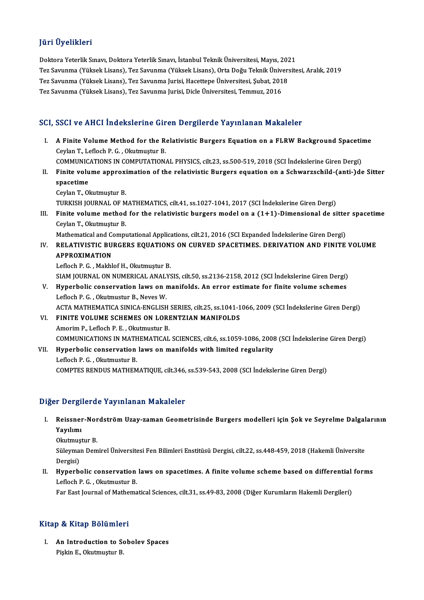## JüriÜyelikleri

Doktora Yeterlik Sınavı, Doktora Yeterlik Sınavı, İstanbul Teknik Üniversitesi, Mayıs, 2021 Tez Savunma (Yüksek Lisans), Tez Savunma (Yüksek Lisans), Orta Doğu Teknik Üniversitesi, Aralık, 2019 Doktora Yeterlik Sınavı, Doktora Yeterlik Sınavı, İstanbul Teknik Üniversitesi, Mayıs, 202<br>Tez Savunma (Yüksek Lisans), Tez Savunma (Yüksek Lisans), Orta Doğu Teknik Üniver:<br>Tez Savunma (Yüksek Lisans), Tez Savunma Jurisi, Tez Savunma (Yüksek Lisans), Tez Savunma (Yüksek Lisans), Orta Doğu Teknik Üniv<br>Tez Savunma (Yüksek Lisans), Tez Savunma Jurisi, Hacettepe Üniversitesi, Şubat, 201<br>Tez Savunma (Yüksek Lisans), Tez Savunma Jurisi, Dicle Üni

# Tez Savunma (Yüksek Lisans), Tez Savunma Jurisi, Dicle Üniversitesi, Temmuz, 2016<br>SCI, SSCI ve AHCI İndekslerine Giren Dergilerde Yayınlanan Makaleler

CI, SSCI ve AHCI İndekslerine Giren Dergilerde Yayınlanan Makaleler<br>I. A Finite Volume Method for the Relativistic Burgers Equation on a FLRW Background Spacetime<br>Caylan T. Laflach B.C. Olaytmustur B BOOT TO THEFT INCREASED INCORN<br>A Finite Volume Method for the Reflock and T., Lefloch P. G. , Okutmuştur B.<br>COMMUNICATIONS IN COMPUTATION A Finite Volume Method for the Relativistic Burgers Equation on a FLRW Background Spacetin<br>Ceylan T., Lefloch P. G. , Okutmuştur B.<br>COMMUNICATIONS IN COMPUTATIONAL PHYSICS, cilt.23, ss.500-519, 2018 (SCI İndekslerine Giren

Ceylan T., Lefloch P. G. , Okutmuştur B.<br>COMMUNICATIONS IN COMPUTATIONAL PHYSICS, cilt.23, ss.500-519, 2018 (SCI İndekslerine Giren Dergi)<br>II. Finite volume approximation of the relativistic Burgers equation on a Schwarzsc COMMUNICATIONS IN COMPUTATIONAL PHYSICS, cilt.23, ss.500-519, 2018 (SCI Indekslerine Giren Dergi)<br>Finite volume approximation of the relativistic Burgers equation on a Schwarzschild-(anti-)de<br>spacetime<br>Ceylan T., Okutmuştu Finite volume approxi<br>spacetime<br>Ceylan T., Okutmuştur B.<br>TURKISH JOURNAL OF M

TURKISH JOURNAL OF MATHEMATICS, cilt.41, ss.1027-1041, 2017 (SCI İndekslerine Giren Dergi)

Ceylan T., Okutmuştur B.<br>I I. Finite Journal. OF MATHEMATICS, cilt.41, ss.1027-1041, 2017 (SCI İndekslerine Giren Dergi)<br>III. Finite volume method for the relativistic burgers model on a (1+1)-Dimensional de sitter spaceti TURKISH JOURNAL OF M<br>Finite volume method<br>Ceylan T., Okutmuştur B.<br>Mathematical and Compu Finite volume method for the relativistic burgers model on a (1+1)-Dimensional de sitte:<br>Ceylan T., Okutmuştur B.<br>Mathematical and Computational Applications, cilt.21, 2016 (SCI Expanded İndekslerine Giren Dergi)<br>RELATIVIS

# Ceylan T., Okutmuştur B.<br>Mathematical and Computational Applications, cilt.21, 2016 (SCI Expanded İndekslerine Giren Dergi)<br>IV. RELATIVISTIC BURGERS EQUATIONS ON CURVED SPACETIMES. DERIVATION AND FINITE VOLUME Mathematical and C<br>RELATIVISTIC BU<br>APPROXIMATION RELATIVISTIC BURGERS EQUATION:<br>APPROXIMATION<br>Lefloch P. G. , Makhlof H., Okutmuştur B.<br>SIAM IQUENAL ON NUMERICAL ANALYS

APPROXIMATION<br>Lefloch P. G. , Makhlof H., Okutmuştur B.<br>SIAM JOURNAL ON NUMERICAL ANALYSIS, cilt.50, ss.2136-2158, 2012 (SCI İndekslerine Giren Dergi)<br>Hunorhalis sansayıyation laws an manifalds. An arrar satimata fan finit Lefloch P. G. , Makhlof H., Okutmuştur B.<br>SIAM JOURNAL ON NUMERICAL ANALYSIS, cilt.50, ss.2136-2158, 2012 (SCI İndekslerine Giren Dergi)<br>V. Hyperbolic conservation laws on manifolds. An error estimate for finite volume sch

SIAM JOURNAL ON NUMERICAL ANAL'<br>Hyperbolic conservation laws on **1**<br>Lefloch P. G. , Okutmustur B., Neves W.<br>ACTA MATHEMATICA SINICA ENCLISE Hyperbolic conservation laws on manifolds. An error estimate for finite volume schemes<br>Lefloch P. G. , Okutmustur B., Neves W.<br>ACTA MATHEMATICA SINICA-ENGLISH SERIES, cilt.25, ss.1041-1066, 2009 (SCI İndekslerine Giren Der

- Lefloch P. G., Okutmustur B., Neves W.<br>ACTA MATHEMATICA SINICA-ENGLISH SERIES, cilt.25, ss.1041-1<br>VI. FINITE VOLUME SCHEMES ON LORENTZIAN MANIFOLDS<br>Amorim B. Lefloch B. E. Okutmustur B. ACTA MATHEMATICA SINICA-ENGLISH<br>FINITE VOLUME SCHEMES ON LORI<br>Amorim P., Lefloch P. E. , Okutmustur B.<br>COMMUNICATIONS IN MATHEMATICAL FINITE VOLUME SCHEMES ON LORENTZIAN MANIFOLDS<br>Amorim P., Lefloch P. E. , Okutmustur B.<br>COMMUNICATIONS IN MATHEMATICAL SCIENCES, cilt.6, ss.1059-1086, 2008 (SCI İndekslerine Giren Dergi)<br>Hunorbalis sonsorustion lause on man Amorim P., Lefloch P. E. , Okutmustur B.<br>COMMUNICATIONS IN MATHEMATICAL SCIENCES, cilt.6, ss.1059-1086, 2008<br>VII. Hyperbolic conservation laws on manifolds with limited regularity<br>Lefloch B. C. Okutmustur B.
- COMMUNICATIONS IN MATH<br>Hyperbolic conservation<br>Lefloch P. G. , Okutmustur B.<br>COMPTES PENDUS MATHEM VII. Hyperbolic conservation laws on manifolds with limited regularity<br>Lefloch P. G., Okutmustur B.<br>COMPTES RENDUS MATHEMATIQUE, cilt.346, ss.539-543, 2008 (SCI İndekslerine Giren Dergi)

## Diğer Dergilerde Yayınlanan Makaleler

I. Reissner-Nordström Uzay-zaman Geometrisinde Burgers modelleri için Şok ve Seyrelme Dalgalarının Yayılımı

Okutmuştur B.

**Yayılımı**<br>Okutmuştur B.<br>Süleyman Demirel Üniversitesi Fen Bilimleri Enstitüsü Dergisi, cilt.22, ss.448-459, 2018 (Hakemli Üniversite Okutmuş<br>Süleyma<br>Dergisi)<br>Hynorb Süleyman Demirel Üniversitesi Fen Bilimleri Enstitüsü Dergisi, cilt.22, ss.448-459, 2018 (Hakemli Üniversite<br>Dergisi)<br>II. Hyperbolic conservation laws on spacetimes. A finite volume scheme based on differential forms<br>Lefle

Dergisi)<br><mark>Hyperbolic conservation</mark><br>Lefloch P. G. , Okutmustur B.<br>Far Fast Journal of Mathama Hyperbolic conservation laws on spacetimes. A finite volume scheme based on differential<br>Lefloch P. G. , Okutmustur B.<br>Far East Journal of Mathematical Sciences, cilt.31, ss.49-83, 2008 (Diğer Kurumların Hakemli Dergileri)

Far East Journal of Mathematical Sciences, cilt.31, ss.49-83, 2008 (Diğer Kurumların Hakemli Dergileri)<br>Kitap & Kitap Bölümleri

Itap & Kitap Bölümleri<br>I. An Introduction to Sobolev Spaces<br>Rickin E. Olatmustur B Piskin E., Okutmuştur<br>An Introduction to Se<br>Pişkin E., Okutmuştur B.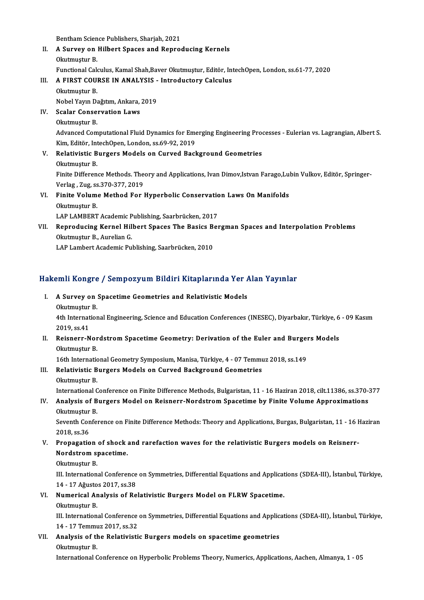Bentham Science Publishers, Sharjah, 2021<br>A Survey on Hilbert Speece and Benne

- II. A Survey on Hilbert Spaces and Reproducing Kernels<br>Okutmustur B. **Bentham Scien<br>A Survey on**<br>Okutmuştur B.<br>Eunstienel Cals FunctionalCalculus,KamalShah,BaverOkutmuştur,Editör, IntechOpen,London, ss.61-77,2020 Okutmuştur B.<br>Functional Calculus, Kamal Shah,Baver Okutmuştur, Editör, Int<br>III. A FIRST COURSE IN ANALYSIS - Introductory Calculus<br>Okutmustur B
- Functional Cale<br>A FIRST COUL<br>Okutmuştur B.<br>Nobel Yaun De A FIRST COURSE IN ANALYSIS -<br>Okutmuştur B.<br>Nobel Yayın Dağıtım, Ankara, 2019<br>Ssalar Conservation Laws

Nobel Yayın Dağıtım, Ankara, 2019

Okutmuştur B.<br>Nobel Yayın Dağıtım, Ankara,<br>IV. Scalar Conservation Laws<br>Okutmustur B.

Scalar Conservation Laws<br>Okutmuştur B.<br>Advanced Computational Fluid Dynamics for Emerging Engineering Processes - Eulerian vs. Lagrangian, Albert S.<br>Kim. Editër, IntechOpen,London, 99.69.92.2019. Okutmuştur B.<br>Advanced Computational Fluid Dynamics for Eme<br>Kim, Editör, IntechOpen, London, ss.69-92, 2019<br>Relativistis Burgers Models on Guryed Basl Advanced Computational Fluid Dynamics for Emerging Engineering Prookim, Editör, IntechOpen, London, ss.69-92, 2019<br>V. Relativistic Burgers Models on Curved Background Geometries<br>Olutmustur P.

Kim, Editör, IntechOpen, London, ss.69-92, 2019<br>V. Relativistic Burgers Models on Curved Background Geometries<br>Okutmuştur B. Relativistic Burgers Models on Curved Background Geometries<br>Okutmuştur B.<br>Finite Difference Methods. Theory and Applications, Ivan Dimov,Istvan Farago,Lubin Vulkov, Editör, Springer-<br>Verleg, Zug, se 270, 277, 2019. Okutmuştur B.<br>Finite Difference Methods. The<br>Verlag , Zug, ss.370-377, 2019<br>Finite Volume Method For Finite Difference Methods. Theory and Applications, Ivan Dimov,Istvan Farago,Lul<br>Verlag , Zug, ss.370-377, 2019<br>VI. Finite Volume Method For Hyperbolic Conservation Laws On Manifolds<br>Obstructur P.

# Verlag , Zug, ss.370-377, 2019<br>Finite Volume Method For Hyperbolic Conservation<br>Okutmuştur B.<br>LAP LAMBERT Academic Publishing, Saarbrücken, 2017 VI. Finite Volume Method For Hyperbolic Conservation Laws On Manifolds

Okutmuştur B.<br>LAP LAMBERT Academic Publishing, Saarbrücken, 2017<br>VII. Reproducing Kernel Hilbert Spaces The Basics Bergman Spaces and Interpolation Problems<br>Olutmustur B. Aurelian C LAP LAMBERT Academic P<br>Reproducing Kernel Hil<br>Okutmuştur B., Aurelian G.<br>LAP Lambart Asadamia Bul Reproducing Kernel Hilbert Spaces The Basics B<br>Okutmuştur B., Aurelian G.<br>LAP Lambert Academic Publishing, Saarbrücken, 2010

# LAP Lambert Academic Publishing, Saarbrucken, 2010<br>Hakemli Kongre / Sempozyum Bildiri Kitaplarında Yer Alan Yayınlar

- akemli Kongre / Sempozyum Bildiri Kitaplarında Yer<br>I. A Survey on Spacetime Geometries and Relativistic Models I. A Survey on Spacetime Geometries and Relativistic Models
	- Okutmuştur B.

4th International Engineering, Science and Education Conferences (INESEC), Diyarbakır, Türkiye, 6 - 09 Kasım<br>2019. ss.41 4th International Engineering, Science and Education Conferences (INESEC), Diyarbakır, Türkiye, 6<br>2019, ss.41<br>II. Reisnerr-Nordstrom Spacetime Geometry: Derivation of the Euler and Burgers Models<br>Olutmustur P

2019, ss.41<br>Reisnerr-Nor<br>Okutmuştur B.<br>16th Internatie Reisnerr-Nordstrom Spacetime Geometry: Derivation of the Euler and Burgel<br>Okutmuştur B.<br>16th International Geometry Symposium, Manisa, Türkiye, 4 - 07 Temmuz 2018, ss.149<br>Relativistic Burgers Models on Guryed Beskspound Ge

16th International Geometry Symposium, Manisa, Türkiye, 4 - 07 Temmuz 2018, ss.149

# Okutmuştur B.<br>16th International Geometry Symposium, Manisa, Türkiye, 4 - 07 Temmi<br>III. Relativistic Burgers Models on Curved Background Geometries<br>Okutmustur B.

International Conference on Finite Difference Methods, Bulgaristan, 11 - 16 Haziran 2018, cilt.11386, ss.370-377

Okutmuştur B.<br>International Conference on Finite Difference Methods, Bulgaristan, 11 - 16 Haziran 2018, cilt.11386, ss.370-<br>IV. Analysis of Burgers Model on Reisnerr-Nordstrom Spacetime by Finite Volume Approximations<br>Obvi International C<br>**Analysis of B**<br>Okutmuştur B.<br>Sovonth Confo Analysis of Burgers Model on Reisnerr-Nordstrom Spacetime by Finite Volume Approximations<br>Okutmuştur B.<br>Seventh Conference on Finite Difference Methods: Theory and Applications, Burgas, Bulgaristan, 11 - 16 Haziran<br>2018.es

Okutmuştur B.<br>Seventh Conference on Finite Difference Methods: Theory and Applications, Burgas, Bulgaristan, 11 - 16 Haziran<br>2018, ss.36

# V. Propagation of shock and rarefaction waves for the relativistic Burgers models on Reisnerr-2018, ss.36<br>Propagation of shock<br>Nordstrom spacetime.<br>Okutmustur B Propagation<br>Nordstrom sp<br>Okutmuştur B.<br><sup>III</sup> Internation

Nordstrom spacetime.<br>Okutmuştur B.<br>III. International Conference on Symmetries, Differential Equations and Applications (SDEA-III), İstanbul, Türkiye, 0kutmuştur B.<br>III. International Conference<br>14 - 17 Ağustos 2017, ss.38<br>Numerical Analysis of Be III. International Conference on Symmetries, Differential Equations and Applicat<br>14 - 17 Ağustos 2017, ss.38<br>VI. Numerical Analysis of Relativistic Burgers Model on FLRW Spacetime.<br>Obviously B

# 14 - 17 Ağusto<br>Numerical Ar<br>Okutmuştur B.<br>III Internation

Numerical Analysis of Relativistic Burgers Model on FLRW Spacetime.<br>Okutmuştur B.<br>III. International Conference on Symmetries, Differential Equations and Applications (SDEA-III), İstanbul, Türkiye,<br>14. 17 Temmur 2017, es <sup></sup> Okutmuştur B.<br>III. International Conference<br>14 - 17 Temmuz 2017, ss.32<br>Analygia of the Belativisti III. International Conference on Symmetries, Differential Equations and Applic:<br>14 - 17 Temmuz 2017, ss.32<br>VII. Analysis of the Relativistic Burgers models on spacetime geometries<br>Qlattmustur B

14 - 17 Temmu<br>Analysis of the<br>Okutmuştur B.<br>International C Okutmuştur B.<br>International Conference on Hyperbolic Problems Theory, Numerics, Applications, Aachen, Almanya, 1 - 05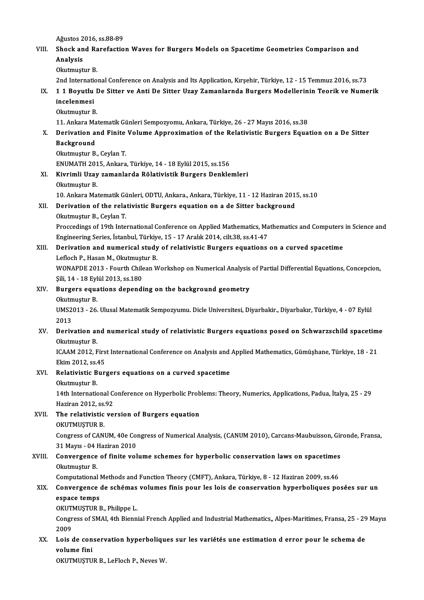Ağustos 2016, ss.88-89<br>Shock and Parafactic

## VIII. Shock and Rarefaction Waves for Burgers Models on Spacetime Geometries Comparison and<br>Analysis Ağustos 2<br>Shock an<br>Analysis Okutmuştur B. Analysis<br>Okutmuştur B.<br>2nd International Conference on Analysis and Its Application, Kırşehir, Türkiye, 12 - 15 Temmuz 2016, ss.73<br>1.1 Boyutlu De Sitter ve Anti De Sitter Ugay Zamanlarında Burgers Modellerinin Teorik ve Nu

Okutmuştur B.<br>2nd International Conference on Analysis and Its Application, Kırşehir, Türkiye, 12 - 15 Temmuz 2016, ss.73<br>IX. 1 1 Boyutlu De Sitter ve Anti De Sitter Uzay Zamanlarnda Burgers Modellerinin Teorik ve Nume 2nd Internation<br>1 1 Boyutlu<br>incelenmesi<br>Olatmustur <sup>p</sup> 1 1 Boyutlu I<br>incelenmesi<br>Okutmuştur B.<br><sup>11 Ankora Ma</sup> incelenmesi<br>Okutmuştur B.<br>11. Ankara Matematik Günleri Sempozyomu, Ankara, Türkiye, 26 - 27 Mayıs 2016, ss.38

# Okutmuştur B.<br>11. Ankara Matematik Günleri Sempozyomu, Ankara, Türkiye, 26 - 27 Mayıs 2016, ss.38<br>X. Derivation and Finite Volume Approximation of the Relativistic Burgers Equation on a De Sitter<br>Recksround 11. Ankara Ma<br>Derivation a:<br>Background<br><sup>Olatmustur P</sup> **Derivation and Finite<br>Background<br>Okutmuştur B., Ceylan T.<br>ENUMATH 2015, Ankara** Background<br>Okutmuştur B., Ceylan T.<br>ENUMATH 2015, Ankara, Türkiye, 14 - 18 Eylül 2015, ss.156

- Okutmuştur B., Ceylan T.<br>ENUMATH 2015, Ankara, Türkiye, 14 18 Eylül 2015, ss.156<br>XI. Kivrimli Uzay zamanlarda Rölativistik Burgers Denklemleri<br>Okutmustur B ENUMATH 201<br>**Kivrimli Uzay**<br>Okutmuştur B.<br><sup>10. Ankara Ma</sup>
	-

Kivrimli Uzay zamanlarda Rölativistik Burgers Denklemleri<br>Okutmuştur B.<br>10. Ankara Matematik Günleri, ODTU, Ankara, Ankara, Türkiye, 11 - 12 Haziran 2015, ss.10<br>Deniyation of the nelativistic Bungers equation on a de Sitte

# Okutmuştur B.<br>10. Ankara Matematik Günleri, ODTU, Ankara, Ankara, Türkiye, 11 - 12 Haziran 201<br>XII. Derivation of the relativistic Burgers equation on a de Sitter background<br>0. Okutmustur B., Ceylan T. 10. Ankara Matematik Gi<br>Derivation of the rela<br>Okutmuştur B., Ceylan T.<br>Pressedings of 10th Inte

Derivation of the relativistic Burgers equation on a de Sitter background<br>Okutmuştur B., Ceylan T.<br>Proccedings of 19th International Conference on Applied Mathematics, Mathematics and Computers in Science and<br>Engineering S Okutmuştur B., Ceylan T.<br>Proccedings of 19th International Conference on Applied Mathematics, Ma<br>Engineering Series, İstanbul, Türkiye, 15 - 17 Aralık 2014, cilt.38, ss.41-47<br>Peniyation and numeriasl study of relativistic Proccedings of 19th International Conference on Applied Mathematics, Mathematics and Computers<br>Engineering Series, Istanbul, Türkiye, 15 - 17 Aralık 2014, cilt.38, ss.41-47<br>XIII. Derivation and numerical study of relativis

# Engineering Series, İstanbul, Türkiye, 15 - 17 Aralık 2014, cilt.38, ss.41-47<br>Derivation and numerical study of relativistic Burgers equations on a curved spacetime<br>Lefloch P., Hasan M., Okutmuştur B. Derivation and numerical study of relativistic Burgers equations on a curved spacetime<br>Lefloch P., Hasan M., Okutmuştur B.<br>WONAPDE 2013 - Fourth Chilean Workshop on Numerical Analysis of Partial Differential Equations, Con

Lefloch P., Hasan M., Okutmuşt<br>WONAPDE 2013 - Fourth Chile<br>Şili, 14 - 18 Eylül 2013, ss.180<br>Burgers equations dependi

# WONAPDE 2013 - Fourth Chilean Workshop on Numerical Analysis<br>
\$ili, 14 - 18 Eylül 2013, ss.180<br>
XIV. Burgers equations depending on the background geometry<br>
Olatmustur B Sili, 14 - 18 Eyl<br>Burgers equa<br>Okutmuştur B.<br>UMS2012 - 26

#### Okutmuştur B.

UMS2013 - 26. Ulusal Matematik Sempozyumu. Dicle Universitesi, Diyarbakir., Diyarbakır, Türkiye, 4 - 07 Eylül<br>2013 UMS2013 - 26. Ulusal Matematik Sempozyumu. Dicle Universitesi, Diyarbakir., Diyarbakır, Türkiye, 4 - 07 Eylül<br>2013<br>XV. Derivation and numerical study of relativistic Burgers equations posed on Schwarzschild spacetime<br>O

# 2013<br>Derivation ar<br>Okutmuştur B.<br>ICAAM 2012. E Derivation and numerical study of relativistic Burgers equations posed on Schwarzschild spacetim<br>Okutmuştur B.<br>ICAAM 2012, First International Conference on Analysis and Applied Mathematics, Gümüşhane, Türkiye, 18 - 21<br>Fli

Okutmuştur B.<br>ICAAM 2012, First International Conference on Analysis and Applied Mathematics, Gümüşhane, Türkiye, 18 - 21 Ekim 2012, ss 45

# XVI. Relativistic Burgers equations on a curved spacetime

Relativistic Burgers equations on a curved spacetime<br>Okutmuştur B.<br>14th International Conference on Hyperbolic Problems: Theory, Numerics, Applications, Padua, İtalya, 25 - 29<br>Harinan 2012, 28.93 Okutmuştur B.<br>14th International Co<br>Haziran 2012, ss.92<br>The relativiatio vo 14th International Conference on Hyperbolic Prob<br>Haziran 2012, ss.92<br>XVII. The relativistic version of Burgers equation<br>OVITMISTID B

# Haziran 2012, ss.<br>The relativistic<br>OKUTMUŞTUR B.<br>Congress of CAN!

The relativistic version of Burgers equation<br>OKUTMUŞTUR B.<br>Congress of CANUM, 40e Congress of Numerical Analysis, (CANUM 2010), Carcans-Maubuisson, Gironde, Fransa,<br>21 Mayıs, .04 Haziran 2010 OKUTMUŞTUR B.<br>Congress of CANUM, 40e Col<br>31 Mayıs - 04 Haziran 2010<br>Convergence of finite vol Congress of CANUM, 40e Congress of Numerical Analysis, (CANUM 2010), Carcans-Maubuisson, Gir<br>31 Mayıs - 04 Haziran 2010<br>XVIII. Convergence of finite volume schemes for hyperbolic conservation laws on spacetimes

# 31 Mayıs - 04 I<br>Convergence<br>Okutmuştur B.<br>Computational Convergence of finite volume schemes for hyperbolic conservation laws on spacetimes<br>Okutmuştur B.<br>Computational Methods and Function Theory (CMFT), Ankara, Türkiye, 8 - 12 Haziran 2009, ss.46<br>Convergence de schémes volumes

# Okutmuştur B.<br>Computational Methods and Function Theory (CMFT), Ankara, Türkiye, 8 - 12 Haziran 2009, ss.46<br>XIX. Convergence de schémas volumes finis pour les lois de conservation hyperboliques posées sur un<br>espass tem Computational Methods and Function Theory (CMFT), Ankara, Türkiye, 8 - 12 Haziran 2009, ss.46<br>Convergence de schémas volumes finis pour les lois de conservation hyperboliques po<br>espace temps Convergence de schémas<br>espace temps<br>OKUTMUŞTUR B., Philippe L.<br>Congress of SMAL 4th Bionn

OKUTMUȘTUR B., Philippe L.

Congress of SMAI, 4th Biennial French Applied and Industrial Mathematics,, Alpes-Maritimes, Fransa, 25 - 29 Mayıs<br>2009 Congress of SMAI, 4th Biennial French Applied and Industrial Mathematics,, Alpes-Maritimes, Fransa, 25 - 29<br>2009<br>XX. Lois de conservation hyperboliques sur les variétés une estimation d error pour le schema de<br>relume fini

# 2009<br>Lois de con<br>volume fini<br>ovurmustu Lois de conservation hyperboliqu<br>volume fini<br>OKUTMUŞTUR B., LeFloch P., Neves W.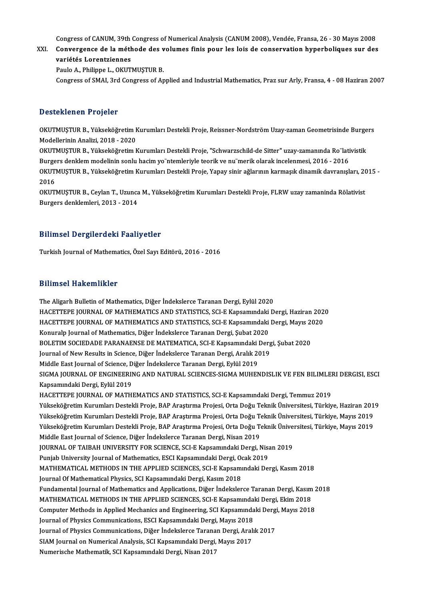Congress of CANUM, 39th Congress of Numerical Analysis (CANUM 2008), Vendée, Fransa, 26 - 30 Mayıs 2008<br>Convergence de la méthode des volumes finis nous les leis de concervation hyperbolisues sur des

Congress of CANUM, 39th Congress of Numerical Analysis (CANUM 2008), Vendée, Fransa, 26 - 30 Mayıs 2008<br>XXI. Convergence de la méthode des volumes finis pour les lois de conservation hyperboliques sur des<br>veniétée Lege Congress of CANUM, 39th<br>Convergence de la méth<br>variétés Lorentziennes<br>Paule A. Philippe L. OKUT Convergence de la méthode des volumes finis pour les lois de conservation hyperboliques sur des<br>variétés Lorentziennes<br>Paulo A., Philippe L., OKUTMUSTUR B.

Congress of SMAI, 3rd Congress of Applied and Industrial Mathematics, Praz sur Arly, Fransa, 4 - 08 Haziran 2007

#### Desteklenen Projeler

OKUTMUSTUR B., Yükseköğretim Kurumları Destekli Proje, Reissner-Nordström Uzay-zaman Geometrisinde Burgers Modellerinin Analizi, 2018 - 2020 OKUTMUŞTUR B., Yükseköğretim Kurumları Destekli Proje, Reissner-Nordström Uzay-zaman Geometrisinde Burge<br>Modellerinin Analizi, 2018 - 2020<br>OKUTMUŞTUR B., Yükseköğretim Kurumları Destekli Proje, "Schwarzschild-de Sitter" uz

Modellerinin Analizi, 2018 - 2020<br>OKUTMUŞTUR B., Yükseköğretim Kurumları Destekli Proje, "Schwarzschild-de Sitter" uzay-zamanında Ro¨lati<br>Burgers denklem modelinin sonlu hacim yo¨ntemleriyle teorik ve nu¨merik olarak incel OKUTMUŞTUR B., Yükseköğretim Kurumları Destekli Proje, "Schwarzschild-de Sitter" uzay-zamanında Ro¨lativistik<br>Burgers denklem modelinin sonlu hacim yo¨ntemleriyle teorik ve nu¨merik olarak incelenmesi, 2016 - 2016<br>OKUTMUŞT Burgers denklem modelinin sonlu hacim yoʻ'ntemleriyle teorik ve nu'merik olarak incelenmesi, 2016 - 2016<br>OKUTMUŞTUR B., Yükseköğretim Kurumları Destekli Proje, Yapay sinir ağlarının karmaşık dinamik davranışl<br>2016 OKUTMUŞTUR B., Yükseköğretim Kurumları Destekli Proje, Yapay sinir ağlarının karmaşık dinamik davranışları, 2015 -<br>2016<br>OKUTMUŞTUR B., Ceylan T., Uzunca M., Yükseköğretim Kurumları Destekli Proje, FLRW uzay zamaninda Rölat

OKUTMUŞTUR B., Ceylan T., Uzunca M., Yükseköğretim Kurumları Destekli Proje, FLRW uzay zamaninda Rölativist

### Bilimsel Dergilerdeki Faaliyetler

Turkish Journal of Mathematics, Özel Sayı Editörü, 2016 - 2016

#### Bilimsel Hakemlikler

The Aligarh Bulletin of Mathematics, Diğer İndekslerce Taranan Dergi, Eylül 2020 HACETTEPE JOURNAL OF MATHEMATICS AND STATISTICS, SCI-E Kapsamındaki Dergi, Haziran 2020 The Aligarh Bulletin of Mathematics, Diğer İndekslerce Taranan Dergi, Eylül 2020<br>HACETTEPE JOURNAL OF MATHEMATICS AND STATISTICS, SCI-E Kapsamındaki Dergi, Haziran 202<br>HACETTEPE JOURNAL OF MATHEMATICS AND STATISTICS, SCI-E HACETTEPE JOURNAL OF MATHEMATICS AND STATISTICS, SCI-E Kapsamındaki<br>HACETTEPE JOURNAL OF MATHEMATICS AND STATISTICS, SCI-E Kapsamındaki<br>Konuralp Journal of Mathematics, Diğer İndekslerce Taranan Dergi, Şubat 2020<br>POLETIM S HACETTEPE JOURNAL OF MATHEMATICS AND STATISTICS, SCI-E Kapsamındaki Dergi, Mayıs 20<br>Konuralp Journal of Mathematics, Diğer İndekslerce Taranan Dergi, Şubat 2020<br>BOLETIM SOCIEDADE PARANAENSE DE MATEMATICA, SCI-E Kapsamındak Konuralp Journal of Mathematics, Diğer İndekslerce Taranan Dergi, Şubat 2020<br>BOLETIM SOCIEDADE PARANAENSE DE MATEMATICA, SCI-E Kapsamındaki Dergi, Şubat 2020<br>Journal of New Results in Science, Diğer İndekslerce Taranan Der Journal of New Results in Science, Diğer İndekslerce Taranan Dergi, Aralık 2019 Journal of New Results in Science, Diğer İndekslerce Taranan Dergi, Aralık 2019<br>Middle East Journal of Science, Diğer İndekslerce Taranan Dergi, Eylül 2019<br>SIGMA JOURNAL OF ENGINEERING AND NATURAL SCIENCES-SIGMA MUHENDISLI Kapsamındaki Dergi, Eylül 2019<br>HACETTEPE JOURNAL OF MATHEMATICS AND STATISTICS, SCI-E Kapsamındaki Dergi, Temmuz 2019 SIGMA JOURNAL OF ENGINEERING AND NATURAL SCIENCES-SIGMA MUHENDISLIK VE FEN BILIMLEI<br>Kapsamındaki Dergi, Eylül 2019<br>HACETTEPE JOURNAL OF MATHEMATICS AND STATISTICS, SCI-E Kapsamındaki Dergi, Temmuz 2019<br>Vükseköğretim Kunuml Yükseköğretim Kurumları Destekli Proje, BAP Araştırma Projesi, Orta Doğu Teknik Üniversitesi, Türkiye, Haziran 2019 HACETTEPE JOURNAL OF MATHEMATICS AND STATISTICS, SCI-E Kapsamındaki Dergi, Temmuz 2019<br>Yükseköğretim Kurumları Destekli Proje, BAP Araştırma Projesi, Orta Doğu Teknik Üniversitesi, Türkiye, Haziran 201<br>Yükseköğretim Kuruml Yükseköğretim Kurumları Destekli Proje, BAP Araştırma Projesi, Orta Doğu Teknik Üniversitesi, Türkiye, Haziran 201<br>Yükseköğretim Kurumları Destekli Proje, BAP Araştırma Projesi, Orta Doğu Teknik Üniversitesi, Türkiye, Mayı Yükseköğretim Kurumları Destekli Proje, BAP Araştırma Projesi, Orta Doğu To<br>Yükseköğretim Kurumları Destekli Proje, BAP Araştırma Projesi, Orta Doğu To<br>Middle East Journal of Science, Diğer İndekslerce Taranan Dergi, Nisan Yükseköğretim Kurumları Destekli Proje, BAP Araştırma Projesi, Orta Doğu Teknik Ünive:<br>Middle East Journal of Science, Diğer İndekslerce Taranan Dergi, Nisan 2019<br>JOURNAL OF TAIBAH UNIVERSITY FOR SCIENCE, SCI-E Kapsamındak Middle East Journal of Science, Diğer İndekslerce Taranan Dergi, Nisan 2019<br>JOURNAL OF TAIBAH UNIVERSITY FOR SCIENCE, SCI-E Kapsamındaki Dergi, Nisa<br>Punjab University Journal of Mathematics, ESCI Kapsamındaki Dergi, Ocak 2 JOURNAL OF TAIBAH UNIVERSITY FOR SCIENCE, SCI-E Kapsamındaki Dergi, Nisan 2019<br>Punjab University Journal of Mathematics, ESCI Kapsamındaki Dergi, Ocak 2019<br>MATHEMATICAL METHODS IN THE APPLIED SCIENCES, SCI-E Kapsamındaki D Punjab University Journal of Mathematics, ESCI Kapsamındaki Dergi, Ocak 2019<br>MATHEMATICAL METHODS IN THE APPLIED SCIENCES, SCI-E Kapsamındaki Dergi, Kasım 2018<br>Journal Of Mathematical Physics, SCI Kapsamındaki Dergi, Kasım MATHEMATICAL METHODS IN THE APPLIED SCIENCES, SCI-E Kapsamındaki Dergi, Kasım 2018<br>Journal Of Mathematical Physics, SCI Kapsamındaki Dergi, Kasım 2018<br>Fundamental Journal of Mathematics and Applications, Diğer İndekslerce MATHEMATICAL METHODS IN THE APPLIED SCIENCES, SCI-E Kapsamındaki Dergi, Ekim 2018 Fundamental Journal of Mathematics and Applications, Diğer İndekslerce Taranan Dergi, Kasım 2<br>MATHEMATICAL METHODS IN THE APPLIED SCIENCES, SCI-E Kapsamındaki Dergi, Ekim 2018<br>Computer Methods in Applied Mechanics and Engi MATHEMATICAL METHODS IN THE APPLIED SCIENCES, SCI-E Kapsamında<br>Computer Methods in Applied Mechanics and Engineering, SCI Kapsamında<br>Journal of Physics Communications, ESCI Kapsamındaki Dergi, Mayıs 2018<br>Journal of Physics Computer Methods in Applied Mechanics and Engineering, SCI Kapsamındaki Dergi<br>Journal of Physics Communications, ESCI Kapsamındaki Dergi, Mayıs 2018<br>Journal of Physics Communications, Diğer İndekslerce Taranan Dergi, Aralı Journal of Physics Communications, ESCI Kapsamındaki Dergi, Mayıs 2018<br>Journal of Physics Communications, Diğer İndekslerce Taranan Dergi, Aralı<br>SIAM Journal on Numerical Analysis, SCI Kapsamındaki Dergi, Mayıs 2017<br>Numeri Journal of Physics Communications, Diğer İndekslerce Tarana<br>SIAM Journal on Numerical Analysis, SCI Kapsamındaki Dergi,<br>Numerische Mathematik, SCI Kapsamındaki Dergi, Nisan 2017